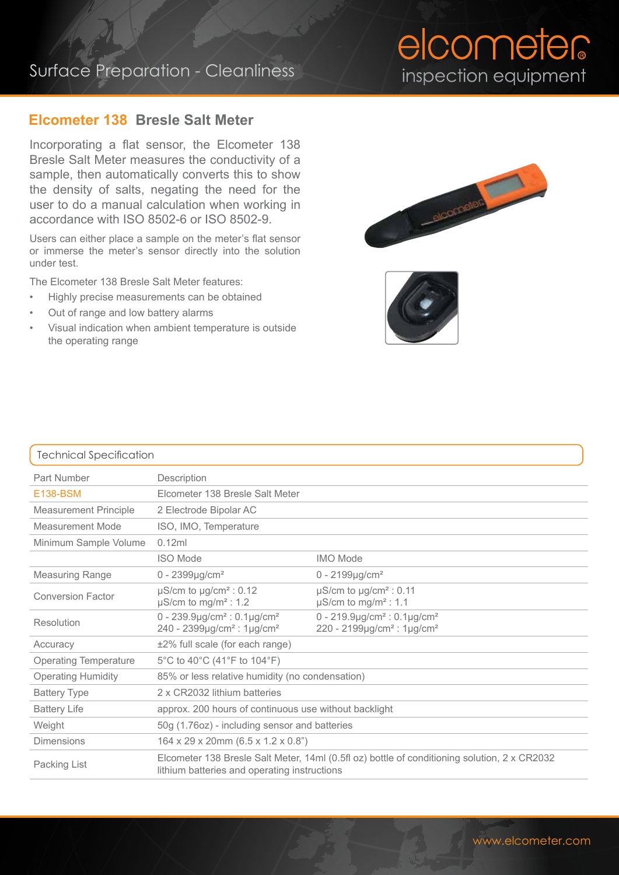### Surface Preparation - Cleanliness

#### **Elcometer 138 Bresle Salt Meter**

Incorporating a flat sensor, the Elcometer 138 Bresle Salt Meter measures the conductivity of a sample, then automatically converts this to show the density of salts, negating the need for the user to do a manual calculation when working in accordance with ISO 8502-6 or ISO 8502-9.

Users can either place a sample on the meter's flat sensor or immerse the meter's sensor directly into the solution under test.

The Elcometer 138 Bresle Salt Meter features:

- Highly precise measurements can be obtained
- Out of range and low battery alarms
- Visual indication when ambient temperature is outside the operating range

## elcometer inspection equipment

accordion



| <b>Technical Specification</b> |                                                                                                                                              |                                                                                                 |
|--------------------------------|----------------------------------------------------------------------------------------------------------------------------------------------|-------------------------------------------------------------------------------------------------|
| Part Number                    | Description                                                                                                                                  |                                                                                                 |
| E138-BSM                       | Elcometer 138 Bresle Salt Meter                                                                                                              |                                                                                                 |
| <b>Measurement Principle</b>   | 2 Electrode Bipolar AC                                                                                                                       |                                                                                                 |
| <b>Measurement Mode</b>        | ISO, IMO, Temperature                                                                                                                        |                                                                                                 |
| Minimum Sample Volume          | 0.12ml                                                                                                                                       |                                                                                                 |
|                                | <b>ISO Mode</b>                                                                                                                              | <b>IMO</b> Mode                                                                                 |
| <b>Measuring Range</b>         | $0 - 2399$ µg/cm <sup>2</sup>                                                                                                                | $0 - 2199$ µg/cm <sup>2</sup>                                                                   |
| <b>Conversion Factor</b>       | $\mu$ S/cm to $\mu$ g/cm <sup>2</sup> : 0.12<br>$\mu$ S/cm to mg/m <sup>2</sup> : 1.2                                                        | $\mu$ S/cm to $\mu$ g/cm <sup>2</sup> : 0.11<br>$\mu$ S/cm to mg/m <sup>2</sup> : 1.1           |
| Resolution                     | 0 - 239.9 $\mu$ g/cm <sup>2</sup> : 0.1 $\mu$ g/cm <sup>2</sup><br>240 - 2399µg/cm <sup>2</sup> : 1µg/cm <sup>2</sup>                        | $0 - 219.9 \mu g/cm^2$ : 0.1 $\mu g/cm^2$<br>220 - 2199µg/cm <sup>2</sup> : 1µg/cm <sup>2</sup> |
| Accuracy                       | ±2% full scale (for each range)                                                                                                              |                                                                                                 |
| <b>Operating Temperature</b>   | 5°C to 40°C (41°F to 104°F)                                                                                                                  |                                                                                                 |
| <b>Operating Humidity</b>      | 85% or less relative humidity (no condensation)                                                                                              |                                                                                                 |
| <b>Battery Type</b>            | 2 x CR2032 lithium batteries                                                                                                                 |                                                                                                 |
| <b>Battery Life</b>            | approx. 200 hours of continuous use without backlight                                                                                        |                                                                                                 |
| Weight                         | 50g (1.76oz) - including sensor and batteries                                                                                                |                                                                                                 |
| <b>Dimensions</b>              | 164 x 29 x 20mm (6.5 x 1.2 x 0.8")                                                                                                           |                                                                                                 |
| Packing List                   | Elcometer 138 Bresle Salt Meter, 14ml (0.5fl oz) bottle of conditioning solution, 2 x CR2032<br>lithium batteries and operating instructions |                                                                                                 |